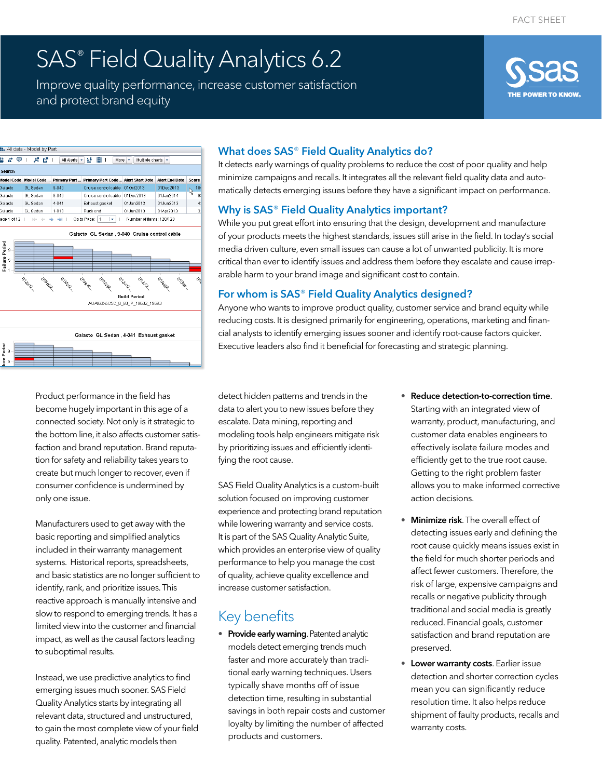# SAS® Field Quality Analytics 6.2

Improve quality performance, increase customer satisfaction and protect brand equity



#### **II.** All data - Model by Part 할 *A*<sup>+</sup> 모 | *A*<sup>+</sup> *All All Alerts* | → | **ill** | | More | + | Multiple charts | + | .<br>Model Code | Model Code ... Primary Part ... | Primary Part Code .. | Alert Start Date | Alert End Date | Score Cruise control cable 01Oct2013 01Dec2013 GI Sedan 9-040 Cruise control cable 01Dec2013 01Jan2014 .<br>Galacto GL Sedan  $9 - 040$ Exhaust gasket 01Jan2013  $4 - 041$ 01Jun2013 Galacto GL Sedan 01Jan2013 01Apr2013 GL Sedan 1-010 Rack end Galacto Go to Page:  $\boxed{1 \quad | \ast |}$  | Number of items: 120/120 age 1 of 12 | i≑  $\div$  ⇒ ⇒ ii



#### Product performance in the field has become hugely important in this age of a connected society. Not only is it strategic to the bottom line, it also affects customer satisfaction and brand reputation. Brand reputation for safety and reliability takes years to create but much longer to recover, even if consumer confidence is undermined by only one issue.

Manufacturers used to get away with the basic reporting and simplified analytics included in their warranty management systems. Historical reports, spreadsheets, and basic statistics are no longer sufficient to identify, rank, and prioritize issues. This reactive approach is manually intensive and slow to respond to emerging trends. It has a limited view into the customer and financial impact, as well as the causal factors leading to suboptimal results.

Instead, we use predictive analytics to find emerging issues much sooner. SAS Field Quality Analytics starts by integrating all relevant data, structured and unstructured, to gain the most complete view of your field quality. Patented, analytic models then

#### What does SAS® Field Quality Analytics do?

It detects early warnings of quality problems to reduce the cost of poor quality and help minimize campaigns and recalls. It integrates all the relevant field quality data and automatically detects emerging issues before they have a significant impact on performance.

#### Why is SAS® Field Quality Analytics important?

While you put great effort into ensuring that the design, development and manufacture of your products meets the highest standards, issues still arise in the field. In today's social media driven culture, even small issues can cause a lot of unwanted publicity. It is more critical than ever to identify issues and address them before they escalate and cause irreparable harm to your brand image and significant cost to contain.

### For whom is SAS® Field Quality Analytics designed?

Anyone who wants to improve product quality, customer service and brand equity while reducing costs. It is designed primarily for engineering, operations, marketing and financial analysts to identify emerging issues sooner and identify root-cause factors quicker. Executive leaders also find it beneficial for forecasting and strategic planning.

detect hidden patterns and trends in the data to alert you to new issues before they escalate. Data mining, reporting and modeling tools help engineers mitigate risk by prioritizing issues and efficiently identifying the root cause.

SAS Field Quality Analytics is a custom-built solution focused on improving customer experience and protecting brand reputation while lowering warranty and service costs. It is part of the SAS Quality Analytic Suite, which provides an enterprise view of quality performance to help you manage the cost of quality, achieve quality excellence and increase customer satisfaction.

## Key benefits

• Provide early warning. Patented analytic models detect emerging trends much faster and more accurately than traditional early warning techniques. Users typically shave months off of issue detection time, resulting in substantial savings in both repair costs and customer loyalty by limiting the number of affected products and customers.

- Reduce detection-to-correction time. Starting with an integrated view of warranty, product, manufacturing, and customer data enables engineers to effectively isolate failure modes and efficiently get to the true root cause. Getting to the right problem faster allows you to make informed corrective action decisions.
- **Minimize risk**. The overall effect of detecting issues early and defining the root cause quickly means issues exist in the field for much shorter periods and affect fewer customers. Therefore, the risk of large, expensive campaigns and recalls or negative publicity through traditional and social media is greatly reduced. Financial goals, customer satisfaction and brand reputation are preserved.
- **Lower warranty costs**. Earlier issue detection and shorter correction cycles mean you can significantly reduce resolution time. It also helps reduce shipment of faulty products, recalls and warranty costs.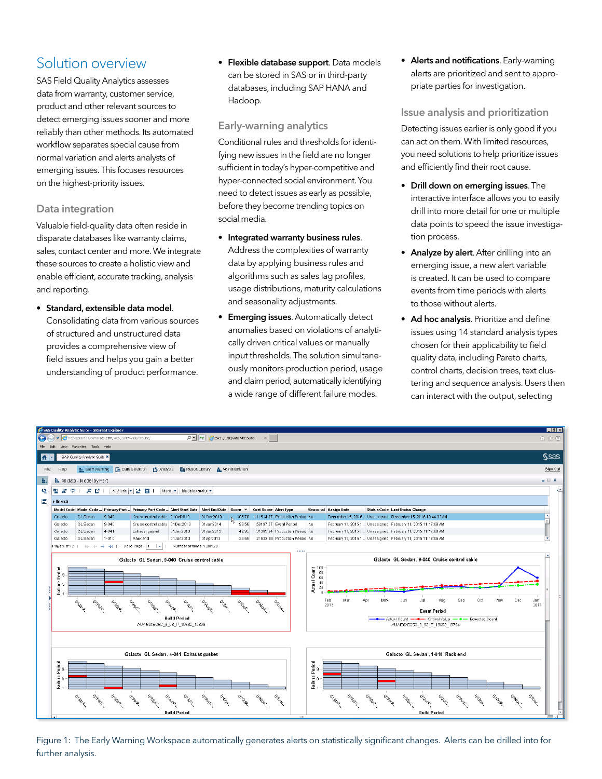## Solution overview

SAS Field Quality Analytics assesses data from warranty, customer service, product and other relevant sources to detect emerging issues sooner and more reliably than other methods. Its automated workflow separates special cause from normal variation and alerts analysts of emerging issues. This focuses resources on the highest-priority issues.

#### Data integration

Valuable field-quality data often reside in disparate databases like warranty claims, sales, contact center and more. We integrate these sources to create a holistic view and enable efficient, accurate tracking, analysis and reporting.

• Standard, extensible data model. Consolidating data from various sources of structured and unstructured data provides a comprehensive view of field issues and helps you gain a better understanding of product performance.

• Flexible database support. Data models can be stored in SAS or in third-party databases, including SAP HANA and Hadoop.

#### Early-warning analytics

Conditional rules and thresholds for identifying new issues in the field are no longer sufficient in today's hyper-competitive and hyper-connected social environment. You need to detect issues as early as possible, before they become trending topics on social media.

- Integrated warranty business rules. Address the complexities of warranty data by applying business rules and algorithms such as sales lag profiles, usage distributions, maturity calculations and seasonality adjustments.
- Emerging issues. Automatically detect anomalies based on violations of analytically driven critical values or manually input thresholds. The solution simultaneously monitors production period, usage and claim period, automatically identifying a wide range of different failure modes.

• Alerts and notifications. Early-warning alerts are prioritized and sent to appropriate parties for investigation.

#### Issue analysis and prioritization

Detecting issues earlier is only good if you can act on them. With limited resources, you need solutions to help prioritize issues and efficiently find their root cause.

- Drill down on emerging issues. The interactive interface allows you to easily drill into more detail for one or multiple data points to speed the issue investigation process.
- Analyze by alert. After drilling into an emerging issue, a new alert variable is created. It can be used to compare events from time periods with alerts to those without alerts.
- Ad hoc analysis. Prioritize and define issues using 14 standard analysis types chosen for their applicability to field quality data, including Pareto charts, control charts, decision trees, text clustering and sequence analysis. Users then can interact with the output, selecting



Figure 1: The Early Warning Workspace automatically generates alerts on statistically significant changes. Alerts can be drilled into for further analysis.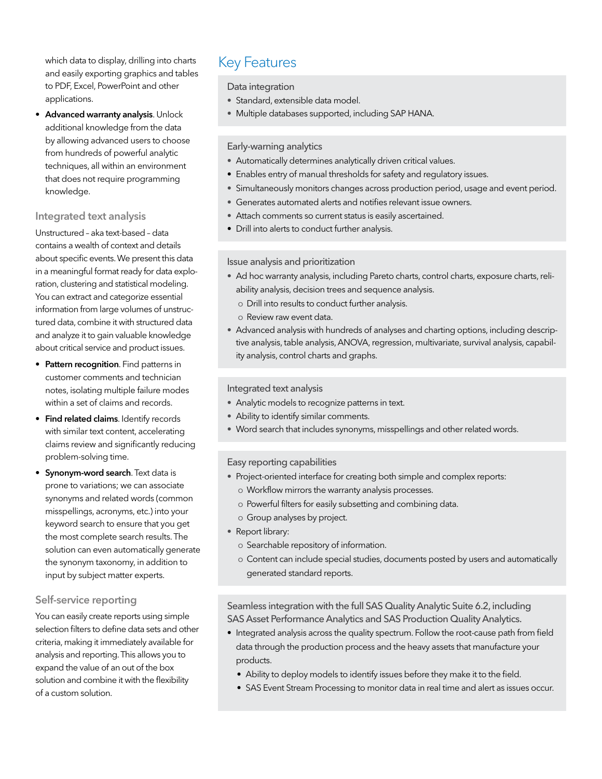which data to display, drilling into charts Key Features and easily exporting graphics and tables to PDF, Excel, PowerPoint and other applications.

• Advanced warranty analysis. Unlock additional knowledge from the data by allowing advanced users to choose from hundreds of powerful analytic techniques, all within an environment that does not require programming knowledge.

#### Integrated text analysis

Unstructured – aka text-based – data contains a wealth of context and details about specific events. We present this data in a meaningful format ready for data exploration, clustering and statistical modeling. You can extract and categorize essential information from large volumes of unstructured data, combine it with structured data and analyze it to gain valuable knowledge about critical service and product issues.

- Pattern recognition. Find patterns in customer comments and technician notes, isolating multiple failure modes within a set of claims and records.
- Find related claims. Identify records with similar text content, accelerating claims review and significantly reducing problem-solving time.
- Synonym-word search. Text data is prone to variations; we can associate synonyms and related words (common misspellings, acronyms, etc.) into your keyword search to ensure that you get the most complete search results. The solution can even automatically generate the synonym taxonomy, in addition to input by subject matter experts.

#### Self-service reporting

You can easily create reports using simple selection filters to define data sets and other criteria, making it immediately available for analysis and reporting. This allows you to expand the value of an out of the box solution and combine it with the flexibility of a custom solution.

#### Data integration

- Standard, extensible data model.
- Multiple databases supported, including SAP HANA.

#### Early-warning analytics

- Automatically determines analytically driven critical values.
- Enables entry of manual thresholds for safety and regulatory issues.
- Simultaneously monitors changes across production period, usage and event period.
- Generates automated alerts and notifies relevant issue owners.
- Attach comments so current status is easily ascertained.
- Drill into alerts to conduct further analysis.

#### Issue analysis and prioritization

- Ad hoc warranty analysis, including Pareto charts, control charts, exposure charts, reliability analysis, decision trees and sequence analysis.
	- о Drill into results to conduct further analysis.
	- о Review raw event data.
- Advanced analysis with hundreds of analyses and charting options, including descriptive analysis, table analysis, ANOVA, regression, multivariate, survival analysis, capability analysis, control charts and graphs.

#### Integrated text analysis

- Analytic models to recognize patterns in text.
- Ability to identify similar comments.
- Word search that includes synonyms, misspellings and other related words.

#### Easy reporting capabilities

- Project-oriented interface for creating both simple and complex reports:
	- о Workflow mirrors the warranty analysis processes.
	- о Powerful filters for easily subsetting and combining data.
	- о Group analyses by project.
- Report library:
	- о Searchable repository of information.
	- о Content can include special studies, documents posted by users and automatically generated standard reports.

#### Seamless integration with the full SAS Quality Analytic Suite 6.2, including SAS Asset Performance Analytics and SAS Production Quality Analytics.

- Integrated analysis across the quality spectrum. Follow the root-cause path from field data through the production process and the heavy assets that manufacture your products.
	- Ability to deploy models to identify issues before they make it to the field.
	- SAS Event Stream Processing to monitor data in real time and alert as issues occur.